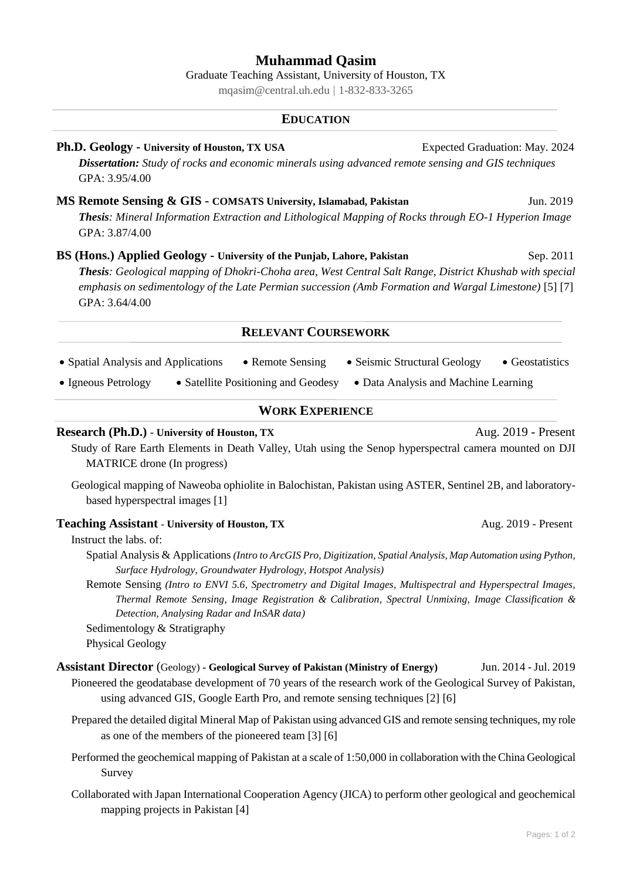# **Muhammad Qasim**

Graduate Teaching Assistant, University of Houston, TX [mqasim@central.uh.edu](mailto:mqasim@central.uh.edu) | 1-832-833-3265

#### **EDUCATION**

- **Ph.D. Geology - University of Houston, TX USA** Expected Graduation: May. 2024 *Dissertation: Study of rocks and economic minerals using advanced remote sensing and GIS techniques* GPA: 3.95/4.00
- **MS Remote Sensing & GIS - COMSATS University, Islamabad, Pakistan** Jun. 2019 *Thesis: Mineral Information Extraction and Lithological Mapping of Rocks through EO-1 Hyperion Image* GPA: 3.87/4.00
- **BS (Hons.) Applied Geology University of the Punjab, Lahore, Pakistan** Sep. 2011

*Thesis: Geological mapping of Dhokri-Choha area, West Central Salt Range, District Khushab with special emphasis on sedimentology of the Late Permian succession (Amb Formation and Wargal Limestone)* [5] [7] GPA: 3.64/4.00

## **RELEVANT COURSEWORK**

- Spatial Analysis and Applications Remote Sensing Seismic Structural Geology Geostatistics
- Igneous Petrology Satellite Positioning and Geodesy Data Analysis and Machine Learning

# **WORK EXPERIENCE**

#### **Research (Ph.D.)** - University of Houston, TX Aug. 2019 - Present

- Study of Rare Earth Elements in Death Valley, Utah using the Senop hyperspectral camera mounted on DJI MATRICE drone (In progress)
- Geological mapping of Naweoba ophiolite in Balochistan, Pakistan using ASTER, Sentinel 2B, and laboratorybased hyperspectral images [1]

#### **Teaching Assistant** - University of Houston, TX Aug. 2019 - Present

Instruct the labs. of:

- Spatial Analysis & Applications *(Intro to ArcGIS Pro, Digitization, Spatial Analysis, Map Automation using Python, Surface Hydrology, Groundwater Hydrology, Hotspot Analysis)*
- Remote Sensing *(Intro to ENVI 5.6, Spectrometry and Digital Images, Multispectral and Hyperspectral Images, Thermal Remote Sensing, Image Registration & Calibration, Spectral Unmixing, Image Classification & Detection, Analysing Radar and InSAR data)*
- Sedimentology & Stratigraphy
- Physical Geology
- **Assistant Director** (Geology) **- Geological Survey of Pakistan (Ministry of Energy)** Jun. 2014 -Jul. 2019 Pioneered the geodatabase development of 70 years of the research work of the Geological Survey of Pakistan, using advanced GIS, Google Earth Pro, and remote sensing techniques [2] [6]
	- Prepared the detailed digital Mineral Map of Pakistan using advanced GIS and remote sensing techniques, my role as one of the members of the pioneered team [3] [6]
	- Performed the geochemical mapping of Pakistan at a scale of 1:50,000 in collaboration with the China Geological Survey
	- Collaborated with Japan International Cooperation Agency (JICA) to perform other geological and geochemical mapping projects in Pakistan [4]